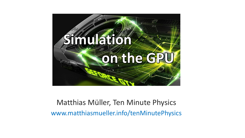

#### Matthias Müller, Ten Minute Physics www.matthiasmueller.info/tenMinutePhysics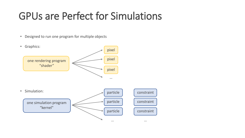#### GPUs are Perfect for Simulations

• Designed to run one program for multiple objects

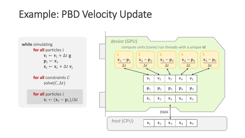## Example: PBD Velocity Update

**while** simulating **for all** particles *i*  $\mathbf{v}_i \leftarrow \mathbf{v}_i + \Delta t \mathbf{g}$  $\mathbf{p}_i \leftarrow \mathbf{x}_i$  $\mathbf{x}_i \leftarrow \mathbf{x}_i + \Delta t \mathbf{v}_i$ **for all** constraints C solve( $C, \Delta t$ ) **for all** particles *i*  $\mathbf{v}_i \leftarrow (\mathbf{x}_i - \mathbf{p}_i)/\Delta t$ 

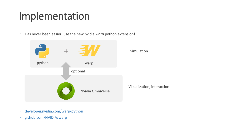#### Implementation

• Has never been easier: use the new nvidia *warp* python extension!

|        |                  | Simulation                 |
|--------|------------------|----------------------------|
| python | warp             |                            |
|        | optional         |                            |
|        | Nvidia Omniverse | Visualization, interaction |

- developer.nvidia.com/warp-python
- github.com/NVIDIA/warp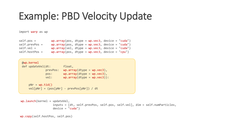#### Example: PBD Velocity Update

import warp as wp

| $self.pos =$      | $wp.array(pos, dtype = wp.vec3, device = "cuda")$ |  |
|-------------------|---------------------------------------------------|--|
| $self. prevPos =$ | $wp.array(pos, dtype = wp.vec3, device = "cuda")$ |  |
| self.vel =        | $wp.array(vel, dtype = wp.vec3, device = "cuda")$ |  |
| $self.hostPos =$  | $wp.array(pos, dtype = wp.vec3, device = "cpu")$  |  |

| $@$ wp.kernel<br>def updateVel(dt:<br>prevPos:<br>pos:<br>vel:  | float,<br>$wp.array(dtype = wp.vec3)$ ,<br>$wp.array(dtype = wp.vec3)$ ,<br>$wp.array(dtype = wp.vec3))$ : |  |  |
|-----------------------------------------------------------------|------------------------------------------------------------------------------------------------------------|--|--|
| $pNr = wp.tid()$<br>$vel[pNr] = (pos[pNr] - prevPos[pNr]) / dt$ |                                                                                                            |  |  |

```
wp.launch(kernel = updateVel, 
                   inputs = [dt, self.prevPos, self.pos, self.vel], dim = self.numParticles, 
                   device = "cuda")
```

```
wp.copy(self.hostPos, self.pos)
```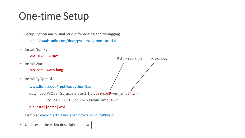## One-time Setup

- Setup Python and Visual Studio for editing and debugging code.visualstudio.com/docs/python/python-tutorial
- Install NumPy

pip install numpy

- Install Warp pip install warp-lang
- Install PyOpenGl

```
www.lfd.uci.edu/~gohlke/pythonlibs/
download PyOpenGL_accelerate-3.1.6-cp39-cp39-win_amd64.whl
         PyOpenGL-3.1.6-cp39-cp39-win_amd64.whl
pip install [name].whl
```
Pyhton version OS version

- Demo at www.matthiasmueller.info/tenMinutePhysics
- Updates in the video description below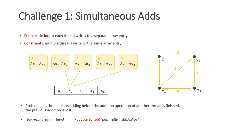## Challenge 1: Simultaneous Adds

- Per particle loops: each thread writes to a separate array entry
- Constraints: multiple threads write to the same array entry!



- Problem: If a thread starts adding before the addition operation of another thread is finished, the previous addition is lost!
- Use *atomic* operations! wp.atomic\_add(pos, pNr, deltaPos)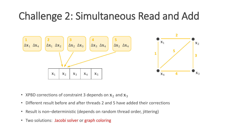#### Challenge 2: Simultaneous Read and Add



- XPBD corrections of constraint 3 depends on  $x_2$  and  $x_3$
- Different result before and after threads 2 and 5 have added their corrections
- Result is non–deterministic (depends on random thread order, jittering)
- Two solutions: Jacobi solver or graph coloring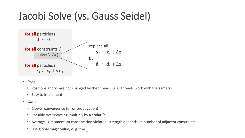## Jacobi Solve (vs. Gauss Seidel)



- Pros
	- Positions and  $x_i$  are not changed by the threads  $\rightarrow$  all threads work with the same  $x_i$
	- Easy to implement
- Cons
	- Slower convergence (error propagation)
	- Possible overshooting, multiply by a scalar "s"
	- Average  $\rightarrow$  momentum conservation violated, strength depends on number of adjacent constraints
	- Use global magic value, e. g.  $s = \frac{1}{4}$ 4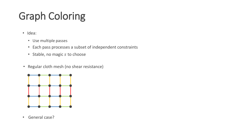# Graph Coloring

- Idea:
	- Use multiple passes
	- Each pass processes a subset of independent constraints
	- Stable, no magic s to choose
- Regular cloth mesh (no shear resistance)



• General case?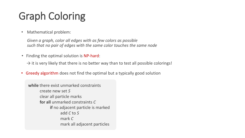# Graph Coloring

• Mathematical problem:

*Given a graph, color all edges with as few colors as possible such that no pair of edges with the same color touches the same node*

• Finding the optimal solution is NP-hard:

 $\rightarrow$  it is very likely that there is no better way than to test all possible colorings!

• Greedy algorithm does not find the optimal but a typically good solution

**while** there exist unmarked constraints create new set *S* clear all particle marks **for all** unmarked constraints *C* **if** no adjacent particle is marked add *C* to *S* mark *C* mark all adjacent particles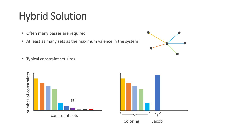# Hybrid Solution

- Often many passes are required
- At least as many sets as the maximum valence in the system!



• Typical constraint set sizes